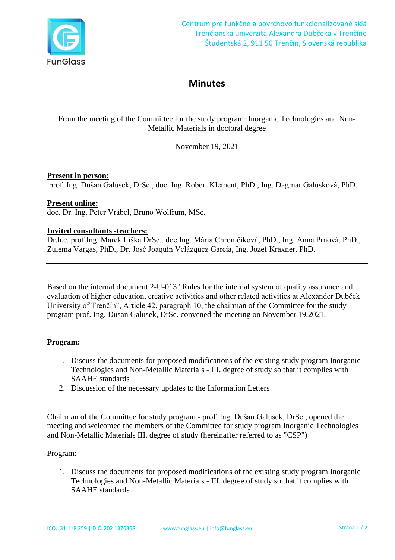

# **Minutes**

From the meeting of the Committee for the study program: Inorganic Technologies and Non-Metallic Materials in doctoral degree

November 19, 2021

## **Present in person:**

prof. Ing. Dušan Galusek, DrSc., doc. Ing. Robert Klement, PhD., Ing. Dagmar Galusková, PhD.

### **Present online:**

doc. Dr. Ing. Peter Vrábel, Bruno Wolfrum, MSc.

### **Invited consultants -teachers:**

Dr.h.c. prof.Ing. Marek Liška DrSc., doc.Ing. Mária Chromčíková, PhD., Ing. Anna Prnová, PhD., Zulema Vargas, PhD., Dr. José Joaquín Velázquez García, Ing. Jozef Kraxner, PhD.

Based on the internal document 2-U-013 "Rules for the internal system of quality assurance and evaluation of higher education, creative activities and other related activities at Alexander Dubček University of Trenčín", Article 42, paragraph 10, the chairman of the Committee for the study program prof. Ing. Dusan Galusek, DrSc. convened the meeting on November 19,2021.

## **Program:**

- 1. Discuss the documents for proposed modifications of the existing study program Inorganic Technologies and Non-Metallic Materials - III. degree of study so that it complies with SAAHE standards
- 2. Discussion of the necessary updates to the Information Letters

Chairman of the Committee for study program - prof. Ing. Dušan Galusek, DrSc., opened the meeting and welcomed the members of the Committee for study program Inorganic Technologies and Non-Metallic Materials III. degree of study (hereinafter referred to as "CSP")

## Program:

1. Discuss the documents for proposed modifications of the existing study program Inorganic Technologies and Non-Metallic Materials - III. degree of study so that it complies with SAAHE standards